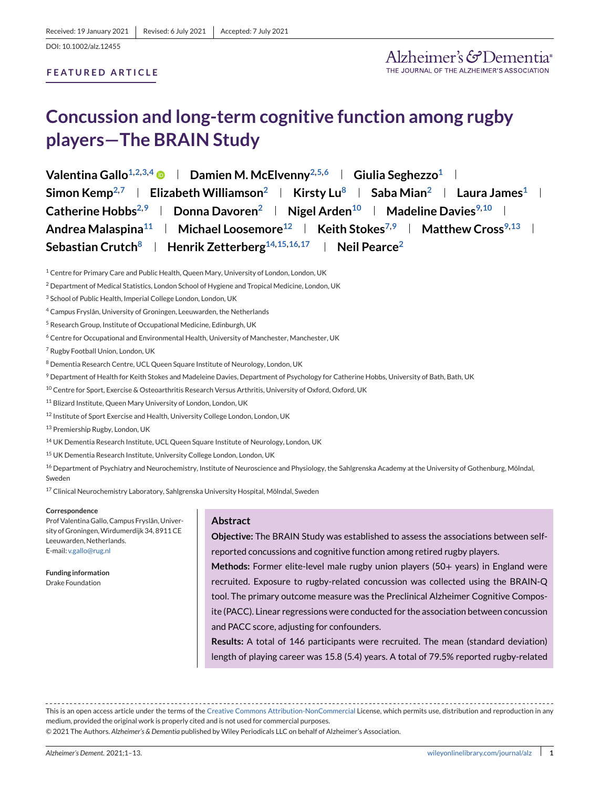# **FEATURED ARTICLE**

# **Concussion and long-term cognitive function among rugby players—The BRAIN Study**

| Valentina Gallo <sup>1,2,3,4</sup> • Damien M. McElvenny <sup>2,5,6</sup> • Giulia Seghezzo <sup>1</sup>                                   |
|--------------------------------------------------------------------------------------------------------------------------------------------|
| Simon Kemp <sup>2,7</sup>   Elizabeth Williamson <sup>2</sup>   Kirsty Lu <sup>8</sup>   Saba Mian <sup>2</sup>   Laura James <sup>1</sup> |
| Catherine Hobbs <sup>2,9</sup>   Donna Davoren <sup>2</sup>   Nigel Arden <sup>10</sup>   Madeline Davies <sup>9,10</sup>                  |
| Andrea Malaspina <sup>11</sup>   Michael Loosemore <sup>12</sup>   Keith Stokes <sup>7,9</sup>   Matthew Cross <sup>9,13</sup>             |
| Sebastian Crutch <sup>8</sup>   Henrik Zetterberg <sup>14,15,16,17</sup>   Neil Pearce <sup>2</sup>                                        |

<sup>1</sup> Centre for Primary Care and Public Health, Queen Mary, University of London, London, UK

- <sup>2</sup> Department of Medical Statistics, London School of Hygiene and Tropical Medicine, London, UK
- <sup>3</sup> School of Public Health, Imperial College London, London, UK
- <sup>4</sup> Campus Fryslân, University of Groningen, Leeuwarden, the Netherlands
- <sup>5</sup> Research Group, Institute of Occupational Medicine, Edinburgh, UK
- <sup>6</sup> Centre for Occupational and Environmental Health, University of Manchester, Manchester, UK
- <sup>7</sup> Rugby Football Union, London, UK
- <sup>8</sup> Dementia Research Centre, UCL Queen Square Institute of Neurology, London, UK
- <sup>9</sup> Department of Health for Keith Stokes and Madeleine Davies, Department of Psychology for Catherine Hobbs, University of Bath, Bath, UK
- <sup>10</sup> Centre for Sport, Exercise & Osteoarthritis Research Versus Arthritis, University of Oxford, Oxford, UK
- <sup>11</sup> Blizard Institute, Queen Mary University of London, London, UK
- 12 Institute of Sport Exercise and Health, University College London, London, UK

<sup>13</sup> Premiership Rugby, London, UK

- <sup>14</sup> UK Dementia Research Institute, UCL Queen Square Institute of Neurology, London, UK
- <sup>15</sup> UK Dementia Research Institute, University College London, London, UK

<sup>16</sup> Department of Psychiatry and Neurochemistry, Institute of Neuroscience and Physiology, the Sahlgrenska Academy at the University of Gothenburg, Mölndal, Sweden

<sup>17</sup> Clinical Neurochemistry Laboratory, Sahlgrenska University Hospital, Mölndal, Sweden

**Correspondence**

Prof Valentina Gallo, Campus Fryslân, University of Groningen, Wirdumerdijk 34, 8911 CE Leeuwarden, Netherlands. E-mail: [v.gallo@rug.nl](mailto:v.gallo@rug.nl)

**Funding information** Drake Foundation

#### **Abstract**

**Objective:** The BRAIN Study was established to assess the associations between selfreported concussions and cognitive function among retired rugby players.

**Methods:** Former elite-level male rugby union players (50+ years) in England were recruited. Exposure to rugby-related concussion was collected using the BRAIN-Q tool. The primary outcome measure was the Preclinical Alzheimer Cognitive Composite (PACC). Linear regressions were conducted for the association between concussion and PACC score, adjusting for confounders.

**Results:** A total of 146 participants were recruited. The mean (standard deviation) length of playing career was 15.8 (5.4) years. A total of 79.5% reported rugby-related

This is an open access article under the terms of the [Creative Commons Attribution-NonCommercial](http://creativecommons.org/licenses/by-nc/4.0/) License, which permits use, distribution and reproduction in any medium, provided the original work is properly cited and is not used for commercial purposes. © 2021 The Authors. *Alzheimer's & Dementia* published by Wiley Periodicals LLC on behalf of Alzheimer's Association.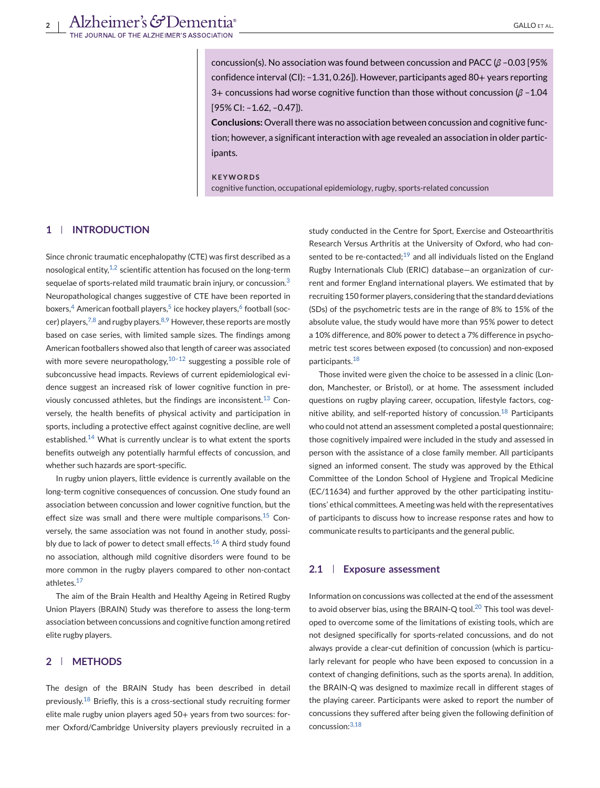concussion(s). No association was found between concussion and PACC (*β* –0.03 [95% confidence interval (CI): –1.31, 0.26]). However, participants aged 80+ years reporting 3+ concussions had worse cognitive function than those without concussion (*β* –1.04 [95% CI: –1.62, –0.47]).

**Conclusions:** Overall there was no association between concussion and cognitive function; however, a significant interaction with age revealed an association in older participants.

### **KEYWORDS**

cognitive function, occupational epidemiology, rugby, sports-related concussion

# **1 INTRODUCTION**

Since chronic traumatic encephalopathy (CTE) was first described as a nosological entity, $1/2$  scientific attention has focused on the long-term sequelae of sports-related mild traumatic brain injury, or concussion.<sup>[3](#page-11-0)</sup> Neuropathological changes suggestive of CTE have been reported in boxers, $4$  American football players, $5$  ice hockey players, $6$  football (soccer) players,  $7,8$  and rugby players.  $8,9$  However, these reports are mostly based on case series, with limited sample sizes. The findings among American footballers showed also that length of career was associated with more severe neuropathology,  $10-12$  suggesting a possible role of subconcussive head impacts. Reviews of current epidemiological evidence suggest an increased risk of lower cognitive function in pre-viously concussed athletes, but the findings are inconsistent.<sup>[13](#page-11-0)</sup> Conversely, the health benefits of physical activity and participation in sports, including a protective effect against cognitive decline, are well established.<sup>[14](#page-11-0)</sup> What is currently unclear is to what extent the sports benefits outweigh any potentially harmful effects of concussion, and whether such hazards are sport-specific.

In rugby union players, little evidence is currently available on the long-term cognitive consequences of concussion. One study found an association between concussion and lower cognitive function, but the effect size was small and there were multiple comparisons.<sup>[15](#page-11-0)</sup> Conversely, the same association was not found in another study, possi-bly due to lack of power to detect small effects.<sup>[16](#page-11-0)</sup> A third study found no association, although mild cognitive disorders were found to be more common in the rugby players compared to other non-contact athletes.<sup>[17](#page-11-0)</sup>

The aim of the Brain Health and Healthy Ageing in Retired Rugby Union Players (BRAIN) Study was therefore to assess the long-term association between concussions and cognitive function among retired elite rugby players.

# **2 METHODS**

The design of the BRAIN Study has been described in detail previously.<sup>[18](#page-11-0)</sup> Briefly, this is a cross-sectional study recruiting former elite male rugby union players aged 50+ years from two sources: former Oxford/Cambridge University players previously recruited in a

study conducted in the Centre for Sport, Exercise and Osteoarthritis Research Versus Arthritis at the University of Oxford, who had consented to be re-contacted; $19$  and all individuals listed on the England Rugby Internationals Club (ERIC) database—an organization of current and former England international players. We estimated that by recruiting 150 former players, considering that the standard deviations (SDs) of the psychometric tests are in the range of 8% to 15% of the absolute value, the study would have more than 95% power to detect a 10% difference, and 80% power to detect a 7% difference in psychometric test scores between exposed (to concussion) and non-exposed participants.[18](#page-11-0)

Those invited were given the choice to be assessed in a clinic (London, Manchester, or Bristol), or at home. The assessment included questions on rugby playing career, occupation, lifestyle factors, cognitive ability, and self-reported history of concussion. $^{18}$  $^{18}$  $^{18}$  Participants who could not attend an assessment completed a postal questionnaire; those cognitively impaired were included in the study and assessed in person with the assistance of a close family member. All participants signed an informed consent. The study was approved by the Ethical Committee of the London School of Hygiene and Tropical Medicine (EC/11634) and further approved by the other participating institutions' ethical committees. A meeting was held with the representatives of participants to discuss how to increase response rates and how to communicate results to participants and the general public.

#### **2.1 Exposure assessment**

Information on concussions was collected at the end of the assessment to avoid observer bias, using the BRAIN-Q tool.<sup>[20](#page-12-0)</sup> This tool was developed to overcome some of the limitations of existing tools, which are not designed specifically for sports-related concussions, and do not always provide a clear-cut definition of concussion (which is particularly relevant for people who have been exposed to concussion in a context of changing definitions, such as the sports arena). In addition, the BRAIN-Q was designed to maximize recall in different stages of the playing career. Participants were asked to report the number of concussions they suffered after being given the following definition of concussion:[3,18](#page-11-0)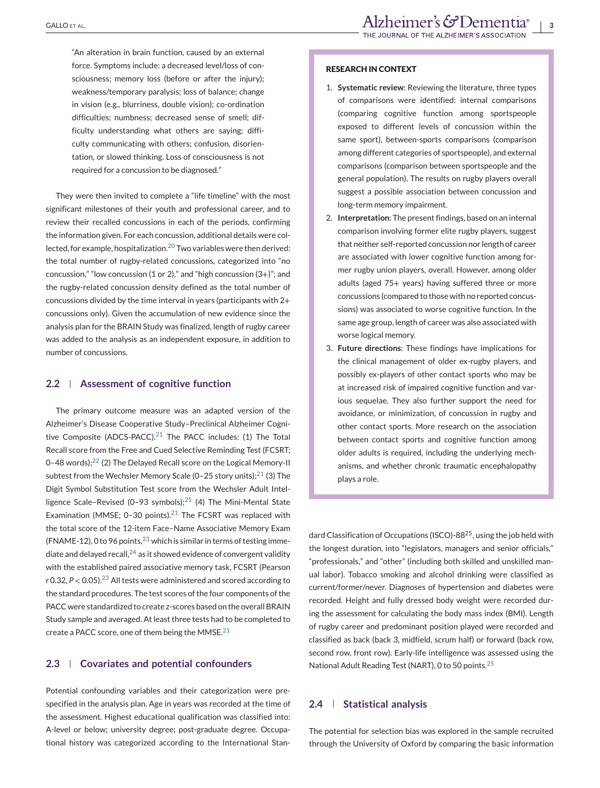"An alteration in brain function, caused by an external force. Symptoms include: a decreased level/loss of consciousness; memory loss (before or after the injury); weakness/temporary paralysis; loss of balance; change in vision (e.g., blurriness, double vision); co-ordination difficulties; numbness; decreased sense of smell; difficulty understanding what others are saying; difficulty communicating with others; confusion, disorientation, or slowed thinking. Loss of consciousness is not required for a concussion to be diagnosed."

They were then invited to complete a "life timeline" with the most significant milestones of their youth and professional career, and to review their recalled concussions in each of the periods, confirming the information given. For each concussion, additional details were col-lected, for example, hospitalization.<sup>[20](#page-12-0)</sup> Two variables were then derived: the total number of rugby-related concussions, categorized into "no concussion," "low concussion (1 or 2)," and "high concussion  $(3+)$ "; and the rugby-related concussion density defined as the total number of concussions divided by the time interval in years (participants with 2+ concussions only). Given the accumulation of new evidence since the analysis plan for the BRAIN Study was finalized, length of rugby career was added to the analysis as an independent exposure, in addition to number of concussions.

# **2.2 Assessment of cognitive function**

The primary outcome measure was an adapted version of the Alzheimer's Disease Cooperative Study–Preclinical Alzheimer Cognitive Composite (ADCS-PACC). $21$  The PACC includes: (1) The Total Recall score from the Free and Cued Selective Reminding Test (FCSRT; 0-48 words);<sup>22</sup> (2) The Delayed Recall score on the Logical Memory-II subtest from the Wechsler Memory Scale (0-25 story units); $^{21}$  $^{21}$  $^{21}$  (3) The Digit Symbol Substitution Test score from the Wechsler Adult Intelligence Scale–Revised (0–93 symbols); $^{21}$  (4) The Mini-Mental State Examination (MMSE; 0-30 points).<sup>[21](#page-12-0)</sup> The FCSRT was replaced with the total score of the 12-item Face–Name Associative Memory Exam (FNAME-12), 0 to 96 points,  $^{23}$  $^{23}$  $^{23}$  which is similar in terms of testing immediate and delayed recall,  $24$  as it showed evidence of convergent validity with the established paired associative memory task, FCSRT (Pearson  $r$  0.32,  $P < 0.05$ ).<sup>[23](#page-12-0)</sup> All tests were administered and scored according to the standard procedures. The test scores of the four components of the PACC were standardized to create z-scores based on the overall BRAIN Study sample and averaged. At least three tests had to be completed to create a PACC score, one of them being the MMSE. $21$ 

#### **2.3 Covariates and potential confounders**

Potential confounding variables and their categorization were prespecified in the analysis plan. Age in years was recorded at the time of the assessment. Highest educational qualification was classified into: A-level or below; university degree; post-graduate degree. Occupational history was categorized according to the International Stan-

#### **RESEARCH IN CONTEXT**

- 1. **Systematic review**: Reviewing the literature, three types of comparisons were identified: internal comparisons (comparing cognitive function among sportspeople exposed to different levels of concussion within the same sport), between-sports comparisons (comparison among different categories of sportspeople), and external comparisons (comparison between sportspeople and the general population). The results on rugby players overall suggest a possible association between concussion and long-term memory impairment.
- 2. **Interpretation**: The present findings, based on an internal comparison involving former elite rugby players, suggest that neither self-reported concussion nor length of career are associated with lower cognitive function among former rugby union players, overall. However, among older adults (aged 75+ years) having suffered three or more concussions (compared to those with no reported concussions) was associated to worse cognitive function. In the same age group, length of career was also associated with worse logical memory.
- 3. **Future directions**: These findings have implications for the clinical management of older ex-rugby players, and possibly ex-players of other contact sports who may be at increased risk of impaired cognitive function and various sequelae. They also further support the need for avoidance, or minimization, of concussion in rugby and other contact sports. More research on the association between contact sports and cognitive function among older adults is required, including the underlying mechanisms, and whether chronic traumatic encephalopathy plays a role.

dard Classification of Occupations (ISCO)-88<sup>25</sup>, using the job held with the longest duration, into "legislators, managers and senior officials," "professionals," and "other" (including both skilled and unskilled manual labor). Tobacco smoking and alcohol drinking were classified as current/former/never. Diagnoses of hypertension and diabetes were recorded. Height and fully dressed body weight were recorded during the assessment for calculating the body mass index (BMI). Length of rugby career and predominant position played were recorded and classified as back (back 3, midfield, scrum half) or forward (back row, second row, front row). Early-life intelligence was assessed using the National Adult Reading Test (NART), 0 to 50 points.[25](#page-12-0)

# **2.4 Statistical analysis**

The potential for selection bias was explored in the sample recruited through the University of Oxford by comparing the basic information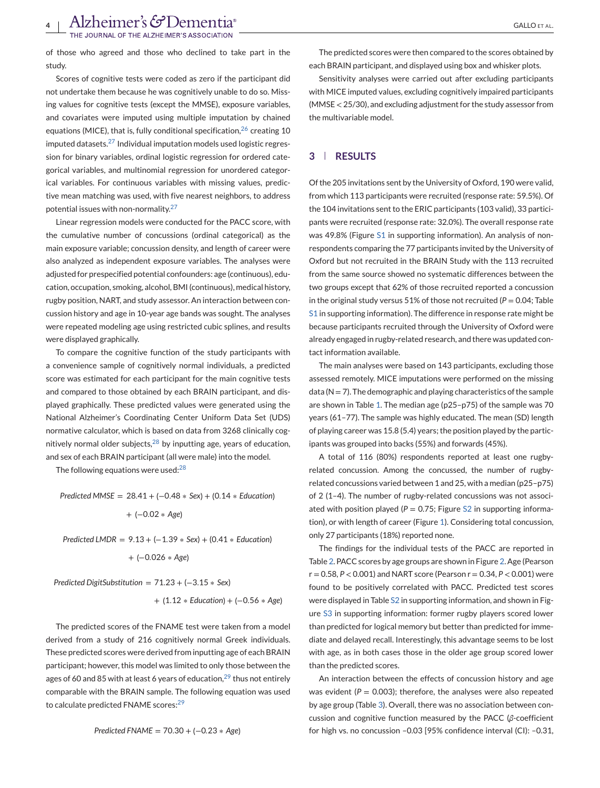of those who agreed and those who declined to take part in the study.

Scores of cognitive tests were coded as zero if the participant did not undertake them because he was cognitively unable to do so. Missing values for cognitive tests (except the MMSE), exposure variables, and covariates were imputed using multiple imputation by chained equations (MICE), that is, fully conditional specification, $26$  creating 10 imputed datasets.[27](#page-12-0) Individual imputation models used logistic regression for binary variables, ordinal logistic regression for ordered categorical variables, and multinomial regression for unordered categorical variables. For continuous variables with missing values, predictive mean matching was used, with five nearest neighbors, to address potential issues with non-normality.[27](#page-12-0)

Linear regression models were conducted for the PACC score, with the cumulative number of concussions (ordinal categorical) as the main exposure variable; concussion density, and length of career were also analyzed as independent exposure variables. The analyses were adjusted for prespecified potential confounders: age (continuous), education, occupation, smoking, alcohol, BMI (continuous), medical history, rugby position, NART, and study assessor. An interaction between concussion history and age in 10-year age bands was sought. The analyses were repeated modeling age using restricted cubic splines, and results were displayed graphically.

To compare the cognitive function of the study participants with a convenience sample of cognitively normal individuals, a predicted score was estimated for each participant for the main cognitive tests and compared to those obtained by each BRAIN participant, and displayed graphically. These predicted values were generated using the National Alzheimer's Coordinating Center Uniform Data Set (UDS) normative calculator, which is based on data from 3268 clinically cognitively normal older subjects, $^{28}$  $^{28}$  $^{28}$  by inputting age, years of education, and sex of each BRAIN participant (all were male) into the model.

The following equations were used: $^{28}$  $^{28}$  $^{28}$ 

*Predicted MMSE* = 28.41 + (−0.48 ∗ *Sex*) + (0.14 ∗ *Education*) + (−0.02 ∗ *Age*) *Predicted LMDR* = 9.13 + (−1.39 ∗ *Sex*) + (0.41 ∗ *Education*)

+ (−0.026 ∗ *Age*)

*Predicted DigitSubstitution* = 71.23 + (−3.15 ∗ *Sex*)

$$
+ (1.12 * Education) + (-0.56 * Age)
$$

The predicted scores of the FNAME test were taken from a model derived from a study of 216 cognitively normal Greek individuals. These predicted scores were derived from inputting age of each BRAIN participant; however, this model was limited to only those between the ages of 60 and 85 with at least 6 years of education,  $29$  thus not entirely comparable with the BRAIN sample. The following equation was used to calculate predicted FNAME scores:<sup>[29](#page-12-0)</sup>

The predicted scores were then compared to the scores obtained by each BRAIN participant, and displayed using box and whisker plots.

Sensitivity analyses were carried out after excluding participants with MICE imputed values, excluding cognitively impaired participants (MMSE < 25/30), and excluding adjustment for the study assessor from the multivariable model.

# **3 RESULTS**

Of the 205 invitations sent by the University of Oxford, 190 were valid, from which 113 participants were recruited (response rate: 59.5%). Of the 104 invitations sent to the ERIC participants (103 valid), 33 participants were recruited (response rate: 32.0%). The overall response rate was 49.8% (Figure S1 in supporting information). An analysis of nonrespondents comparing the 77 participants invited by the University of Oxford but not recruited in the BRAIN Study with the 113 recruited from the same source showed no systematic differences between the two groups except that 62% of those recruited reported a concussion in the original study versus 51% of those not recruited ( $P = 0.04$ ; Table S1 in supporting information). The difference in response rate might be because participants recruited through the University of Oxford were already engaged in rugby-related research, and there was updated contact information available.

The main analyses were based on 143 participants, excluding those assessed remotely. MICE imputations were performed on the missing data ( $N = 7$ ). The demographic and playing characteristics of the sample are shown in Table [1.](#page-4-0) The median age (p25–p75) of the sample was 70 years (61–77). The sample was highly educated. The mean (SD) length of playing career was 15.8 (5.4) years; the position played by the participants was grouped into backs (55%) and forwards (45%).

A total of 116 (80%) respondents reported at least one rugbyrelated concussion. Among the concussed, the number of rugbyrelated concussions varied between 1 and 25, with a median (p25–p75) of 2 (1–4). The number of rugby-related concussions was not associated with position played ( $P = 0.75$ ; Figure S2 in supporting information), or with length of career (Figure [1\)](#page-5-0). Considering total concussion, only 27 participants (18%) reported none.

The findings for the individual tests of the PACC are reported in Table [2.](#page-6-0) PACC scores by age groups are shown in Figure [2.](#page-6-0) Age (Pearson r = 0.58, *P* < 0.001) and NART score (Pearson r = 0.34, *P* < 0.001) were found to be positively correlated with PACC. Predicted test scores were displayed in Table S2 in supporting information, and shown in Figure S3 in supporting information: former rugby players scored lower than predicted for logical memory but better than predicted for immediate and delayed recall. Interestingly, this advantage seems to be lost with age, as in both cases those in the older age group scored lower than the predicted scores.

An interaction between the effects of concussion history and age was evident ( $P = 0.003$ ); therefore, the analyses were also repeated by age group (Table [3\)](#page-7-0). Overall, there was no association between concussion and cognitive function measured by the PACC (*β*-coefficient for high vs. no concussion –0.03 [95% confidence interval (CI): –0.31,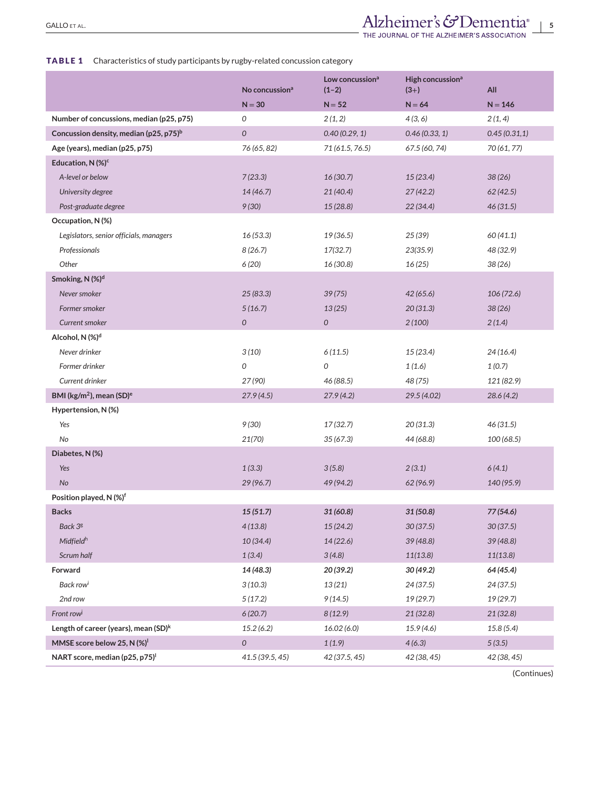# <span id="page-4-0"></span>**TABLE 1** Characteristics of study participants by rugby-related concussion category

|                                                    | No concussion <sup>a</sup> | Low concussion <sup>a</sup><br>$(1-2)$ | High concussion <sup>a</sup><br>$(3+)$ | All          |
|----------------------------------------------------|----------------------------|----------------------------------------|----------------------------------------|--------------|
|                                                    | $N = 30$                   | $N = 52$                               | $N = 64$                               | $N = 146$    |
| Number of concussions, median (p25, p75)           | 0                          | 2(1, 2)                                | 4(3, 6)                                | 2(1, 4)      |
| Concussion density, median (p25, p75) <sup>b</sup> | 0                          | 0.40(0.29, 1)                          | 0.46(0.33, 1)                          | 0.45(0.31,1) |
| Age (years), median (p25, p75)                     | 76 (65, 82)                | 71 (61.5, 76.5)                        | 67.5 (60, 74)                          | 70 (61, 77)  |
| Education, N (%) <sup>c</sup>                      |                            |                                        |                                        |              |
| A-level or below                                   | 7(23.3)                    | 16(30.7)                               | 15(23.4)                               | 38(26)       |
| University degree                                  | 14(46.7)                   | 21(40.4)                               | 27(42.2)                               | 62(42.5)     |
| Post-graduate degree                               | 9(30)                      | 15(28.8)                               | 22(34.4)                               | 46 (31.5)    |
| Occupation, N(%)                                   |                            |                                        |                                        |              |
| Legislators, senior officials, managers            | 16(53.3)                   | 19 (36.5)                              | 25 (39)                                | 60 (41.1)    |
| Professionals                                      | 8(26.7)                    | 17(32.7)                               | 23(35.9)                               | 48 (32.9)    |
| Other                                              | 6 (20)                     | 16 (30.8)                              | 16(25)                                 | 38 (26)      |
| Smoking, N (%) <sup>d</sup>                        |                            |                                        |                                        |              |
| Never smoker                                       | 25(83.3)                   | 39(75)                                 | 42(65.6)                               | 106 (72.6)   |
| Former smoker                                      | 5(16.7)                    | 13(25)                                 | 20(31.3)                               | 38(26)       |
| Current smoker                                     | $\mathcal{O}$              | 0                                      | 2(100)                                 | 2(1.4)       |
| Alcohol, N (%) <sup>d</sup>                        |                            |                                        |                                        |              |
| Never drinker                                      | 3(10)                      | 6(11.5)                                | 15(23.4)                               | 24(16.4)     |
| Former drinker                                     | 0                          | 0                                      | 1(1.6)                                 | 1(0.7)       |
| Current drinker                                    | 27 (90)                    | 46 (88.5)                              | 48 (75)                                | 121 (82.9)   |
| BMI (kg/m <sup>2</sup> ), mean (SD) <sup>e</sup>   | 27.9(4.5)                  | 27.9(4.2)                              | 29.5 (4.02)                            | 28.6(4.2)    |
| Hypertension, N (%)                                |                            |                                        |                                        |              |
| Yes                                                | 9 (30)                     | 17(32.7)                               | 20(31.3)                               | 46 (31.5)    |
| No                                                 | 21(70)                     | 35(67.3)                               | 44 (68.8)                              | 100 (68.5)   |
| Diabetes, N (%)                                    |                            |                                        |                                        |              |
| Yes                                                | 1(3.3)                     | 3(5.8)                                 | 2(3.1)                                 | 6(4.1)       |
| No                                                 | 29(96.7)                   | 49 (94.2)                              | 62(96.9)                               | 140 (95.9)   |
| Position played, N (%) <sup>f</sup>                |                            |                                        |                                        |              |
| <b>Backs</b>                                       | 15(51.7)                   | 31 (60.8)                              | 31 (50.8)                              | 77 (54.6)    |
| Back 3g                                            | 4(13.8)                    | 15(24.2)                               | 30(37.5)                               | 30(37.5)     |
| Midfieldh                                          | 10(34.4)                   | 14(22.6)                               | 39(48.8)                               | 39(48.8)     |
| Scrum half                                         | 1(3.4)                     | 3(4.8)                                 | 11(13.8)                               | 11(13.8)     |
| Forward                                            | 14 (48.3)                  | 20 (39.2)                              | 30(49.2)                               | 64 (45.4)    |
| Back row <sup>i</sup>                              | 3(10.3)                    | 13 (21)                                | 24 (37.5)                              | 24(37.5)     |
| 2nd row                                            | 5(17.2)                    | 9(14.5)                                | 19 (29.7)                              | 19(29.7)     |
| Front row <sup>j</sup>                             | 6(20.7)                    | 8(12.9)                                | 21 (32.8)                              | 21 (32.8)    |
| Length of career (years), mean $(SD)^k$            | 15.2(6.2)                  | 16.02(6.0)                             | 15.9(4.6)                              | 15.8 (5.4)   |
| MMSE score below 25, N (%) <sup>1</sup>            | 0                          | 1(1.9)                                 | 4(6.3)                                 | 5(3.5)       |
| NART score, median (p25, p75) <sup>1</sup>         | 41.5 (39.5, 45)            | 42 (37.5, 45)                          | 42 (38, 45)                            | 42 (38, 45)  |

(Continues)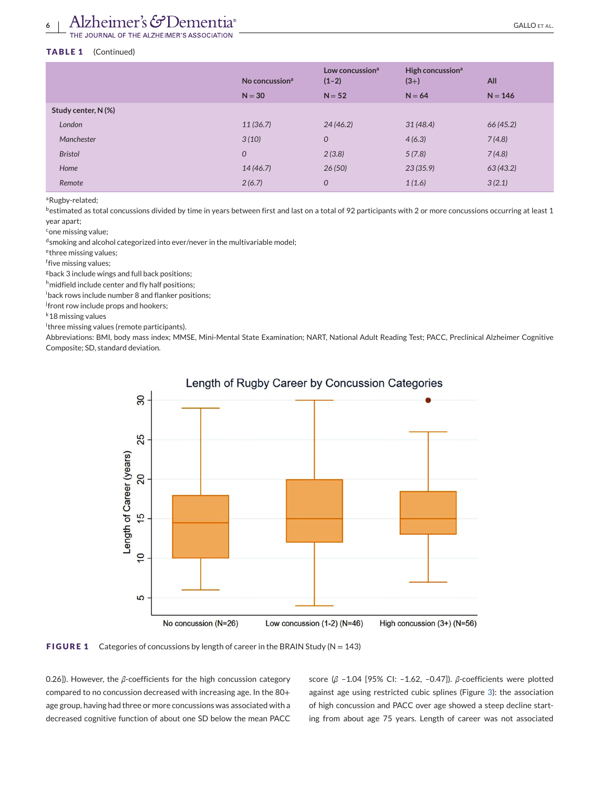### <span id="page-5-0"></span>**TABLE 1** (Continued)

|                     | No concussion <sup>a</sup><br>$N = 30$ | Low concussion <sup>a</sup><br>$(1-2)$<br>$N = 52$ | High concussion <sup>a</sup><br>$(3+)$<br>$N = 64$ | All<br>$N = 146$ |
|---------------------|----------------------------------------|----------------------------------------------------|----------------------------------------------------|------------------|
| Study center, N (%) |                                        |                                                    |                                                    |                  |
| London              | 11(36.7)                               | 24(46.2)                                           | 31(48.4)                                           | 66(45.2)         |
| Manchester          | 3(10)                                  | $\mathcal{O}$                                      | 4(6.3)                                             | 7(4.8)           |
| <b>Bristol</b>      | $\mathcal{O}$                          | 2(3.8)                                             | 5(7.8)                                             | 7(4.8)           |
| Home                | 14(46.7)                               | 26(50)                                             | 23(35.9)                                           | 63(43.2)         |
| Remote              | 2(6.7)                                 | $\overline{O}$                                     | 1(1.6)                                             | 3(2.1)           |

aRugby-related;

bestimated as total concussions divided by time in years between first and last on a total of 92 participants with 2 or more concussions occurring at least 1 year apart;

<sup>c</sup>one missing value;

dsmoking and alcohol categorized into ever/never in the multivariable model;

ethree missing values;

f five missing values;

gback 3 include wings and full back positions;

h<sub>midfield</sub> include center and fly half positions;

i back rows include number 8 and flanker positions;

<sup>j</sup>front row include props and hookers;

k18 missing values

l three missing values (remote participants).

Abbreviations: BMI, body mass index; MMSE, Mini-Mental State Examination; NART, National Adult Reading Test; PACC, Preclinical Alzheimer Cognitive Composite; SD, standard deviation.



# Length of Rugby Career by Concussion Categories

**FIGURE 1** Categories of concussions by length of career in the BRAIN Study (N = 143)

0.26]). However, the *β*-coefficients for the high concussion category compared to no concussion decreased with increasing age. In the 80+ age group, having had three or more concussions was associated with a decreased cognitive function of about one SD below the mean PACC

score (*β* –1.04 [95% CI: –1.62, –0.47]). *β*-coefficients were plotted against age using restricted cubic splines (Figure [3\)](#page-8-0): the association of high concussion and PACC over age showed a steep decline starting from about age 75 years. Length of career was not associated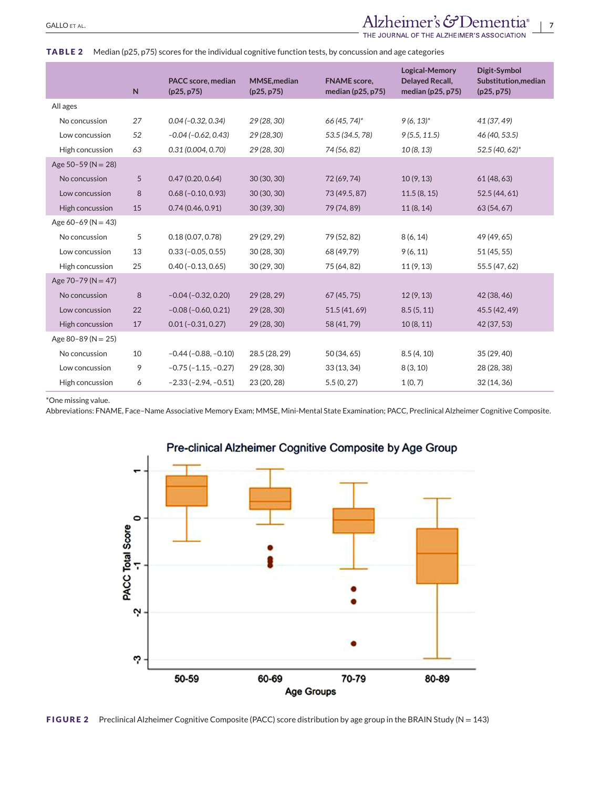# <span id="page-6-0"></span>GALLO ET AL.<br>
THE JOURNAL OF THE ALZHEIMER'S ASSOCIATION

### **TABLE 2** Median (p25, p75) scores for the individual cognitive function tests, by concussion and age categories

|                        | $\mathsf{N}$ | PACC score, median<br>(p25, p75) | <b>MMSE, median</b><br>(p25, p75) | <b>FNAME</b> score,<br>median (p25, p75) | <b>Logical-Memory</b><br><b>Delayed Recall,</b><br>median (p25, p75) | Digit-Symbol<br>Substitution, median<br>(p25, p75) |
|------------------------|--------------|----------------------------------|-----------------------------------|------------------------------------------|----------------------------------------------------------------------|----------------------------------------------------|
| All ages               |              |                                  |                                   |                                          |                                                                      |                                                    |
| No concussion          | 27           | $0.04 (-0.32, 0.34)$             | 29 (28, 30)                       | 66 (45, 74)*                             | $9(6, 13)^{*}$                                                       | 41 (37, 49)                                        |
| Low concussion         | 52           | $-0.04 (-0.62, 0.43)$            | 29 (28,30)                        | 53.5 (34.5, 78)                          | 9(5.5, 11.5)                                                         | 46 (40, 53.5)                                      |
| High concussion        | 63           | 0.31(0.004, 0.70)                | 29 (28, 30)                       | 74 (56, 82)                              | 10(8, 13)                                                            | 52.5 (40, 62)*                                     |
| Age $50-59$ (N = 28)   |              |                                  |                                   |                                          |                                                                      |                                                    |
| No concussion          | 5            | 0.47(0.20, 0.64)                 | 30(30, 30)                        | 72 (69, 74)                              | 10(9, 13)                                                            | 61(48, 63)                                         |
| Low concussion         | 8            | $0.68(-0.10, 0.93)$              | 30 (30, 30)                       | 73 (49.5, 87)                            | 11.5(8, 15)                                                          | 52.5 (44, 61)                                      |
| High concussion        | 15           | 0.74(0.46, 0.91)                 | 30(39, 30)                        | 79 (74, 89)                              | 11(8, 14)                                                            | 63 (54, 67)                                        |
| Age $60-69$ (N = 43)   |              |                                  |                                   |                                          |                                                                      |                                                    |
| No concussion          | 5            | 0.18(0.07, 0.78)                 | 29 (29, 29)                       | 79 (52, 82)                              | 8(6, 14)                                                             | 49 (49, 65)                                        |
| Low concussion         | 13           | $0.33(-0.05, 0.55)$              | 30 (28, 30)                       | 68 (49,79)                               | 9(6, 11)                                                             | 51(45, 55)                                         |
| High concussion        | 25           | $0.40 (-0.13, 0.65)$             | 30(29, 30)                        | 75 (64, 82)                              | 11(9, 13)                                                            | 55.5 (47, 62)                                      |
| Age $70-79$ (N = 47)   |              |                                  |                                   |                                          |                                                                      |                                                    |
| No concussion          | 8            | $-0.04$ ( $-0.32$ , 0.20)        | 29(28, 29)                        | 67(45, 75)                               | 12(9, 13)                                                            | 42 (38, 46)                                        |
| Low concussion         | 22           | $-0.08(-0.60, 0.21)$             | 29 (28, 30)                       | 51.5 (41, 69)                            | 8.5(5, 11)                                                           | 45.5 (42, 49)                                      |
| High concussion        | 17           | $0.01 (-0.31, 0.27)$             | 29 (28, 30)                       | 58 (41, 79)                              | 10(8, 11)                                                            | 42 (37, 53)                                        |
| Age 80-89 ( $N = 25$ ) |              |                                  |                                   |                                          |                                                                      |                                                    |
| No concussion          | 10           | $-0.44$ ( $-0.88$ , $-0.10$ )    | 28.5 (28, 29)                     | 50 (34, 65)                              | 8.5(4, 10)                                                           | 35(29, 40)                                         |
| Low concussion         | 9            | $-0.75$ ( $-1.15, -0.27$ )       | 29 (28, 30)                       | 33(13, 34)                               | 8(3, 10)                                                             | 28 (28, 38)                                        |
| High concussion        | 6            | $-2.33(-2.94, -0.51)$            | 23 (20, 28)                       | 5.5(0, 27)                               | 1(0, 7)                                                              | 32(14, 36)                                         |

\*One missing value.

Abbreviations: FNAME, Face–Name Associative Memory Exam; MMSE, Mini-Mental State Examination; PACC, Preclinical Alzheimer Cognitive Composite.



**FIGURE 2** Preclinical Alzheimer Cognitive Composite (PACC) score distribution by age group in the BRAIN Study (N = 143)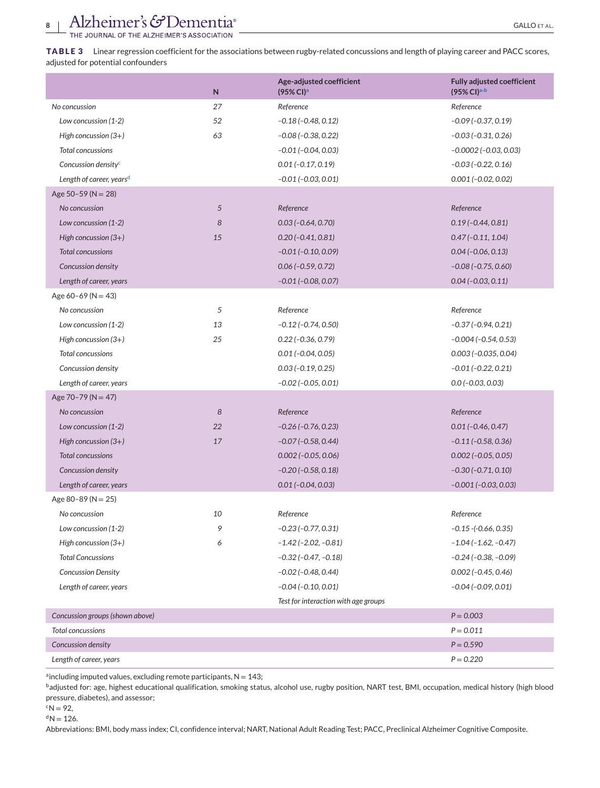<span id="page-7-0"></span>**TABLE 3** Linear regression coefficient for the associations between rugby-related concussions and length of playing career and PACC scores, adjusted for potential confounders

|                                      | N  | Age-adjusted coefficient<br>(95% Cl) <sup>a</sup> | <b>Fully adjusted coefficient</b><br>(95% CI) <sup>a,b</sup> |
|--------------------------------------|----|---------------------------------------------------|--------------------------------------------------------------|
| No concussion                        | 27 | Reference                                         | Reference                                                    |
| Low concussion (1-2)                 | 52 | $-0.18(-0.48, 0.12)$                              | $-0.09$ ( $-0.37, 0.19$ )                                    |
| High concussion $(3+)$               | 63 | $-0.08$ ( $-0.38$ , $0.22$ )                      | $-0.03(-0.31, 0.26)$                                         |
| Total concussions                    |    | $-0.01$ ( $-0.04$ , 0.03)                         | $-0.0002$ ( $-0.03, 0.03$ )                                  |
| Concussion density <sup>c</sup>      |    | $0.01 (-0.17, 0.19)$                              | $-0.03(-0.22, 0.16)$                                         |
| Length of career, years <sup>d</sup> |    | $-0.01$ ( $-0.03$ , $0.01$ )                      | $0.001 (-0.02, 0.02)$                                        |
| Age $50-59$ (N = 28)                 |    |                                                   |                                                              |
| No concussion                        | 5  | Reference                                         | Reference                                                    |
| Low concussion (1-2)                 | 8  | $0.03(-0.64, 0.70)$                               | $0.19(-0.44, 0.81)$                                          |
| High concussion (3+)                 | 15 | $0.20(-0.41, 0.81)$                               | $0.47(-0.11, 1.04)$                                          |
| <b>Total concussions</b>             |    | $-0.01$ ( $-0.10$ , $0.09$ )                      | $0.04 (-0.06, 0.13)$                                         |
| Concussion density                   |    | $0.06 (-0.59, 0.72)$                              | $-0.08$ ( $-0.75$ , $0.60$ )                                 |
| Length of career, years              |    | $-0.01$ ( $-0.08$ , $0.07$ )                      | $0.04 (-0.03, 0.11)$                                         |
| Age $60-69$ (N = 43)                 |    |                                                   |                                                              |
| No concussion                        | 5  | Reference                                         | Reference                                                    |
| Low concussion (1-2)                 | 13 | $-0.12$ ( $-0.74$ , 0.50)                         | $-0.37(-0.94, 0.21)$                                         |
| High concussion $(3+)$               | 25 | $0.22$ (-0.36, 0.79)                              | $-0.004 (-0.54, 0.53)$                                       |
| <b>Total concussions</b>             |    | $0.01 (-0.04, 0.05)$                              | $0.003$ ( $-0.035, 0.04$ )                                   |
| Concussion density                   |    | $0.03(-0.19, 0.25)$                               | $-0.01$ ( $-0.22$ , 0.21)                                    |
| Length of career, years              |    | $-0.02$ ( $-0.05$ , $0.01$ )                      | $0.0$ (-0.03, 0.03)                                          |
| Age $70-79$ (N = 47)                 |    |                                                   |                                                              |
| No concussion                        | 8  | Reference                                         | Reference                                                    |
| Low concussion (1-2)                 | 22 | $-0.26$ ( $-0.76$ , 0.23)                         | $0.01 (-0.46, 0.47)$                                         |
| High concussion $(3+)$               | 17 | $-0.07$ ( $-0.58$ , 0.44)                         | $-0.11(-0.58, 0.36)$                                         |
| <b>Total concussions</b>             |    | $0.002$ ( $-0.05, 0.06$ )                         | $0.002$ ( $-0.05$ , $0.05$ )                                 |
| Concussion density                   |    | $-0.20$ ( $-0.58$ , $0.18$ )                      | $-0.30(-0.71, 0.10)$                                         |
| Length of career, years              |    | $0.01 (-0.04, 0.03)$                              | $-0.001 (-0.03, 0.03)$                                       |
| Age 80-89 ( $N = 25$ )               |    |                                                   |                                                              |
| No concussion                        | 10 | Reference                                         | Reference                                                    |
| Low concussion (1-2)                 | 9  | $-0.23(-0.77, 0.31)$                              | $-0.15 - (-0.66, 0.35)$                                      |
| High concussion $(3+)$               | 6  | $-1.42$ ( $-2.02$ , $-0.81$ )                     | $-1.04(-1.62,-0.47)$                                         |
| <b>Total Concussions</b>             |    | $-0.32$ ( $-0.47$ , $-0.18$ )                     | $-0.24$ ( $-0.38$ , $-0.09$ )                                |
| <b>Concussion Density</b>            |    | $-0.02$ ( $-0.48$ , $0.44$ )                      | $0.002(-0.45, 0.46)$                                         |
| Length of career, years              |    | $-0.04 (-0.10, 0.01)$                             | $-0.04$ ( $-0.09$ , $0.01$ )                                 |
|                                      |    | Test for interaction with age groups              |                                                              |
| Concussion groups (shown above)      |    |                                                   | $P = 0.003$                                                  |
| Total concussions                    |    |                                                   | $P = 0.011$                                                  |
| Concussion density                   |    |                                                   | $P = 0.590$                                                  |
| Length of career, years              |    |                                                   | $P = 0.220$                                                  |

 $a$  including imputed values, excluding remote participants,  $N = 143$ ;

badjusted for: age, highest educational qualification, smoking status, alcohol use, rugby position, NART test, BMI, occupation, medical history (high blood pressure, diabetes), and assessor;

 ${}^{c}N = 92,$ 

 ${}^{d}N = 126.$ 

Abbreviations: BMI, body mass index; CI, confidence interval; NART, National Adult Reading Test; PACC, Preclinical Alzheimer Cognitive Composite.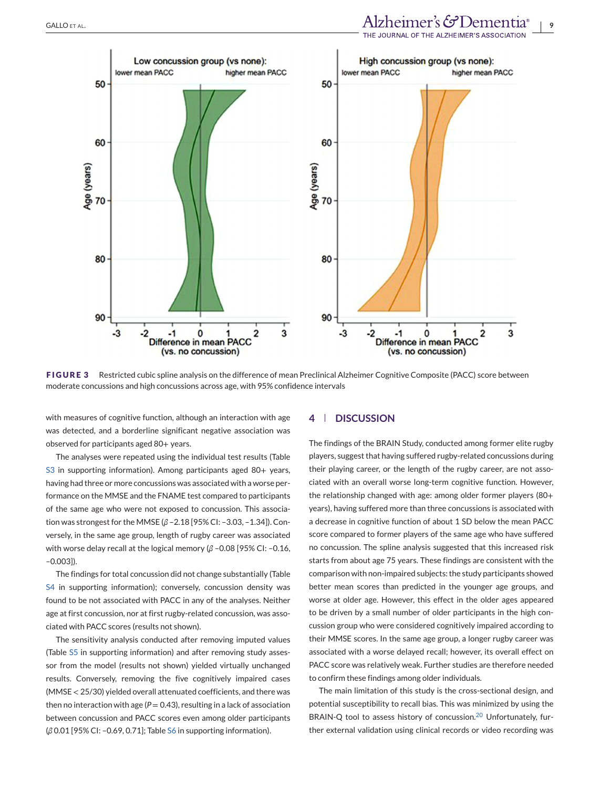# <span id="page-8-0"></span>GALLO ET AL.<br>THE JOURNAL OF THE ALZHEIMER'S ASSOCIATION





**FIGURE 3** Restricted cubic spline analysis on the difference of mean Preclinical Alzheimer Cognitive Composite (PACC) score between moderate concussions and high concussions across age, with 95% confidence intervals

with measures of cognitive function, although an interaction with age was detected, and a borderline significant negative association was observed for participants aged 80+ years.

The analyses were repeated using the individual test results (Table S3 in supporting information). Among participants aged 80+ years, having had three or more concussions was associated with a worse performance on the MMSE and the FNAME test compared to participants of the same age who were not exposed to concussion. This association was strongest for the MMSE (*β* –2.18 [95% CI: –3.03, –1.34]). Conversely, in the same age group, length of rugby career was associated with worse delay recall at the logical memory (*β* –0.08 [95% CI: –0.16, –0.003]).

The findings for total concussion did not change substantially (Table S4 in supporting information); conversely, concussion density was found to be not associated with PACC in any of the analyses. Neither age at first concussion, nor at first rugby-related concussion, was associated with PACC scores (results not shown).

The sensitivity analysis conducted after removing imputed values (Table S5 in supporting information) and after removing study assessor from the model (results not shown) yielded virtually unchanged results. Conversely, removing the five cognitively impaired cases (MMSE < 25/30) yielded overall attenuated coefficients, and there was then no interaction with age ( $P = 0.43$ ), resulting in a lack of association between concussion and PACC scores even among older participants (*β* 0.01 [95% CI: –0.69, 0.71]; Table S6 in supporting information).

### **4 DISCUSSION**

The findings of the BRAIN Study, conducted among former elite rugby players, suggest that having suffered rugby-related concussions during their playing career, or the length of the rugby career, are not associated with an overall worse long-term cognitive function. However, the relationship changed with age: among older former players (80+ years), having suffered more than three concussions is associated with a decrease in cognitive function of about 1 SD below the mean PACC score compared to former players of the same age who have suffered no concussion. The spline analysis suggested that this increased risk starts from about age 75 years. These findings are consistent with the comparison with non-impaired subjects: the study participants showed better mean scores than predicted in the younger age groups, and worse at older age. However, this effect in the older ages appeared to be driven by a small number of older participants in the high concussion group who were considered cognitively impaired according to their MMSE scores. In the same age group, a longer rugby career was associated with a worse delayed recall; however, its overall effect on PACC score was relatively weak. Further studies are therefore needed to confirm these findings among older individuals.

The main limitation of this study is the cross-sectional design, and potential susceptibility to recall bias. This was minimized by using the BRAIN-Q tool to assess history of concussion.<sup>[20](#page-12-0)</sup> Unfortunately, further external validation using clinical records or video recording was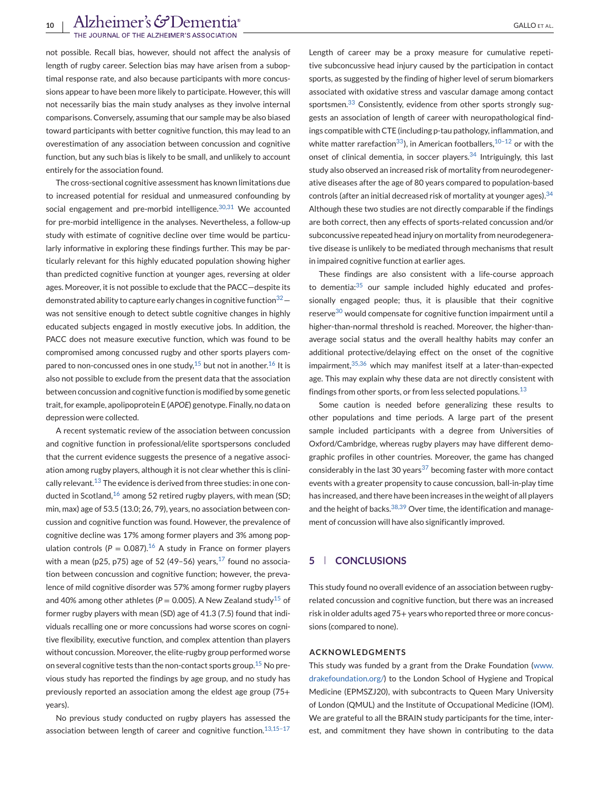not possible. Recall bias, however, should not affect the analysis of length of rugby career. Selection bias may have arisen from a suboptimal response rate, and also because participants with more concussions appear to have been more likely to participate. However, this will not necessarily bias the main study analyses as they involve internal comparisons. Conversely, assuming that our sample may be also biased toward participants with better cognitive function, this may lead to an overestimation of any association between concussion and cognitive function, but any such bias is likely to be small, and unlikely to account entirely for the association found.

The cross-sectional cognitive assessment has known limitations due to increased potential for residual and unmeasured confounding by social engagement and pre-morbid intelligence.  $30,31$  We accounted for pre-morbid intelligence in the analyses. Nevertheless, a follow-up study with estimate of cognitive decline over time would be particularly informative in exploring these findings further. This may be particularly relevant for this highly educated population showing higher than predicted cognitive function at younger ages, reversing at older ages. Moreover, it is not possible to exclude that the PACC—despite its demonstrated ability to capture early changes in cognitive function  $32$ was not sensitive enough to detect subtle cognitive changes in highly educated subjects engaged in mostly executive jobs. In addition, the PACC does not measure executive function, which was found to be compromised among concussed rugby and other sports players compared to non-concussed ones in one study,  $15$  but not in another.  $16$  It is also not possible to exclude from the present data that the association between concussion and cognitive function is modified by some genetic trait, for example, apolipoprotein E (*APOE*) genotype. Finally, no data on depression were collected.

A recent systematic review of the association between concussion and cognitive function in professional/elite sportspersons concluded that the current evidence suggests the presence of a negative association among rugby players, although it is not clear whether this is clini-cally relevant.<sup>[13](#page-11-0)</sup> The evidence is derived from three studies: in one conducted in Scotland, $16$  among 52 retired rugby players, with mean (SD; min, max) age of 53.5 (13.0; 26, 79), years, no association between concussion and cognitive function was found. However, the prevalence of cognitive decline was 17% among former players and 3% among population controls ( $P = 0.087$ ).<sup>[16](#page-11-0)</sup> A study in France on former players with a mean (p25, p75) age of 52 (49-56) years, $^{17}$  $^{17}$  $^{17}$  found no association between concussion and cognitive function; however, the prevalence of mild cognitive disorder was 57% among former rugby players and 40% among other athletes ( $P = 0.005$ ). A New Zealand study<sup>[15](#page-11-0)</sup> of former rugby players with mean (SD) age of 41.3 (7.5) found that individuals recalling one or more concussions had worse scores on cognitive flexibility, executive function, and complex attention than players without concussion. Moreover, the elite-rugby group performed worse on several cognitive tests than the non-contact sports group.<sup>[15](#page-11-0)</sup> No previous study has reported the findings by age group, and no study has previously reported an association among the eldest age group (75+ years).

No previous study conducted on rugby players has assessed the association between length of career and cognitive function. $13,15-17$ 

Length of career may be a proxy measure for cumulative repetitive subconcussive head injury caused by the participation in contact sports, as suggested by the finding of higher level of serum biomarkers associated with oxidative stress and vascular damage among contact sportsmen.<sup>[33](#page-12-0)</sup> Consistently, evidence from other sports strongly suggests an association of length of career with neuropathological findings compatible with CTE (including p-tau pathology, inflammation, and white matter rarefaction<sup>33</sup>), in American footballers,  $10-12$  or with the onset of clinical dementia, in soccer players.<sup>[34](#page-12-0)</sup> Intriguingly, this last study also observed an increased risk of mortality from neurodegenerative diseases after the age of 80 years compared to population-based controls (after an initial decreased risk of mortality at younger ages).  $34$ Although these two studies are not directly comparable if the findings are both correct, then any effects of sports-related concussion and/or subconcussive repeated head injury on mortality from neurodegenerative disease is unlikely to be mediated through mechanisms that result in impaired cognitive function at earlier ages.

These findings are also consistent with a life-course approach to dementia:<sup>[35](#page-12-0)</sup> our sample included highly educated and professionally engaged people; thus, it is plausible that their cognitive reserve<sup>[30](#page-12-0)</sup> would compensate for cognitive function impairment until a higher-than-normal threshold is reached. Moreover, the higher-thanaverage social status and the overall healthy habits may confer an additional protective/delaying effect on the onset of the cognitive impairment.<sup>[35,36](#page-12-0)</sup> which may manifest itself at a later-than-expected age. This may explain why these data are not directly consistent with findings from other sports, or from less selected populations.<sup>[13](#page-11-0)</sup>

Some caution is needed before generalizing these results to other populations and time periods. A large part of the present sample included participants with a degree from Universities of Oxford/Cambridge, whereas rugby players may have different demographic profiles in other countries. Moreover, the game has changed considerably in the last 30 years<sup>37</sup> becoming faster with more contact events with a greater propensity to cause concussion, ball-in-play time has increased, and there have been increases in the weight of all players and the height of backs.  $38,39$  Over time, the identification and management of concussion will have also significantly improved.

# **5 CONCLUSIONS**

This study found no overall evidence of an association between rugbyrelated concussion and cognitive function, but there was an increased risk in older adults aged 75+ years who reported three or more concussions (compared to none).

#### **ACKNOWLEDGMENTS**

This study was funded by a grant from the Drake Foundation [\(www.](http://www.drakefoundation.org/) [drakefoundation.org/\)](http://www.drakefoundation.org/) to the London School of Hygiene and Tropical Medicine (EPMSZJ20), with subcontracts to Queen Mary University of London (QMUL) and the Institute of Occupational Medicine (IOM). We are grateful to all the BRAIN study participants for the time, interest, and commitment they have shown in contributing to the data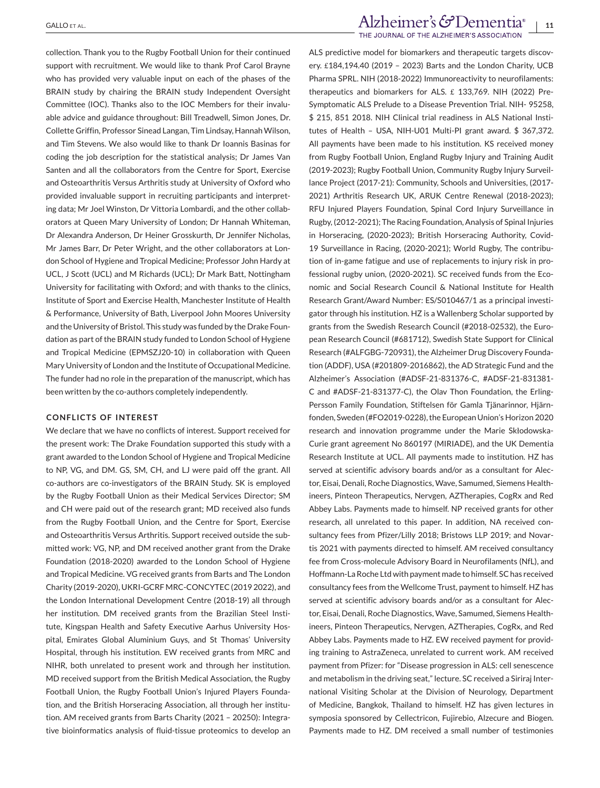collection. Thank you to the Rugby Football Union for their continued support with recruitment. We would like to thank Prof Carol Brayne who has provided very valuable input on each of the phases of the BRAIN study by chairing the BRAIN study Independent Oversight Committee (IOC). Thanks also to the IOC Members for their invaluable advice and guidance throughout: Bill Treadwell, Simon Jones, Dr. Collette Griffin, Professor Sinead Langan, Tim Lindsay, Hannah Wilson, and Tim Stevens. We also would like to thank Dr Ioannis Basinas for coding the job description for the statistical analysis; Dr James Van Santen and all the collaborators from the Centre for Sport, Exercise and Osteoarthritis Versus Arthritis study at University of Oxford who provided invaluable support in recruiting participants and interpreting data; Mr Joel Winston, Dr Vittoria Lombardi, and the other collaborators at Queen Mary University of London; Dr Hannah Whiteman, Dr Alexandra Anderson, Dr Heiner Grosskurth, Dr Jennifer Nicholas, Mr James Barr, Dr Peter Wright, and the other collaborators at London School of Hygiene and Tropical Medicine; Professor John Hardy at UCL, J Scott (UCL) and M Richards (UCL); Dr Mark Batt, Nottingham University for facilitating with Oxford; and with thanks to the clinics, Institute of Sport and Exercise Health, Manchester Institute of Health & Performance, University of Bath, Liverpool John Moores University and the University of Bristol. This study was funded by the Drake Foundation as part of the BRAIN study funded to London School of Hygiene and Tropical Medicine (EPMSZJ20-10) in collaboration with Queen Mary University of London and the Institute of Occupational Medicine. The funder had no role in the preparation of the manuscript, which has been written by the co-authors completely independently.

#### **CONFLICTS OF INTEREST**

We declare that we have no conflicts of interest. Support received for the present work: The Drake Foundation supported this study with a grant awarded to the London School of Hygiene and Tropical Medicine to NP, VG, and DM. GS, SM, CH, and LJ were paid off the grant. All co-authors are co-investigators of the BRAIN Study. SK is employed by the Rugby Football Union as their Medical Services Director; SM and CH were paid out of the research grant; MD received also funds from the Rugby Football Union, and the Centre for Sport, Exercise and Osteoarthritis Versus Arthritis. Support received outside the submitted work: VG, NP, and DM received another grant from the Drake Foundation (2018-2020) awarded to the London School of Hygiene and Tropical Medicine. VG received grants from Barts and The London Charity (2019-2020), UKRI-GCRF MRC-CONCYTEC (2019 2022), and the London International Development Centre (2018-19) all through her institution. DM received grants from the Brazilian Steel Institute, Kingspan Health and Safety Executive Aarhus University Hospital, Emirates Global Aluminium Guys, and St Thomas' University Hospital, through his institution. EW received grants from MRC and NIHR, both unrelated to present work and through her institution. MD received support from the British Medical Association, the Rugby Football Union, the Rugby Football Union's Injured Players Foundation, and the British Horseracing Association, all through her institution. AM received grants from Barts Charity (2021 – 20250): Integrative bioinformatics analysis of fluid-tissue proteomics to develop an

# $\text{ALLO ET AL}$ <br> $\text{ALLO ET AL}$

ALS predictive model for biomarkers and therapeutic targets discovery. £184,194.40 (2019 – 2023) Barts and the London Charity, UCB Pharma SPRL. NIH (2018-2022) Immunoreactivity to neurofilaments: therapeutics and biomarkers for ALS. £ 133,769. NIH (2022) Pre-Symptomatic ALS Prelude to a Disease Prevention Trial. NIH- 95258, \$ 215, 851 2018. NIH Clinical trial readiness in ALS National Institutes of Health – USA, NIH-U01 Multi-PI grant award. \$ 367,372. All payments have been made to his institution. KS received money from Rugby Football Union, England Rugby Injury and Training Audit (2019-2023); Rugby Football Union, Community Rugby Injury Surveillance Project (2017-21): Community, Schools and Universities, (2017- 2021) Arthritis Research UK, ARUK Centre Renewal (2018-2023); RFU Injured Players Foundation, Spinal Cord Injury Surveillance in Rugby, (2012-2021); The Racing Foundation, Analysis of Spinal Injuries in Horseracing, (2020-2023); British Horseracing Authority, Covid-19 Surveillance in Racing, (2020-2021); World Rugby, The contribution of in-game fatigue and use of replacements to injury risk in professional rugby union, (2020-2021). SC received funds from the Economic and Social Research Council & National Institute for Health Research Grant/Award Number: ES/S010467/1 as a principal investigator through his institution. HZ is a Wallenberg Scholar supported by grants from the Swedish Research Council (#2018-02532), the European Research Council (#681712), Swedish State Support for Clinical Research (#ALFGBG-720931), the Alzheimer Drug Discovery Foundation (ADDF), USA (#201809-2016862), the AD Strategic Fund and the Alzheimer's Association (#ADSF-21-831376-C, #ADSF-21-831381- C and #ADSF-21-831377-C), the Olav Thon Foundation, the Erling-Persson Family Foundation, Stiftelsen för Gamla Tjänarinnor, Hjärnfonden, Sweden (#FO2019-0228), the European Union's Horizon 2020 research and innovation programme under the Marie Skłodowska-Curie grant agreement No 860197 (MIRIADE), and the UK Dementia Research Institute at UCL. All payments made to institution. HZ has served at scientific advisory boards and/or as a consultant for Alector, Eisai, Denali, Roche Diagnostics, Wave, Samumed, Siemens Healthineers, Pinteon Therapeutics, Nervgen, AZTherapies, CogRx and Red Abbey Labs. Payments made to himself. NP received grants for other research, all unrelated to this paper. In addition, NA received consultancy fees from Pfizer/Lilly 2018; Bristows LLP 2019; and Novartis 2021 with payments directed to himself. AM received consultancy fee from Cross-molecule Advisory Board in Neurofilaments (NfL), and Hoffmann-La Roche Ltd with payment made to himself. SC has received consultancy fees from the Wellcome Trust, payment to himself. HZ has served at scientific advisory boards and/or as a consultant for Alector, Eisai, Denali, Roche Diagnostics, Wave, Samumed, Siemens Healthineers, Pinteon Therapeutics, Nervgen, AZTherapies, CogRx, and Red Abbey Labs. Payments made to HZ. EW received payment for providing training to AstraZeneca, unrelated to current work. AM received payment from Pfizer: for "Disease progression in ALS: cell senescence and metabolism in the driving seat," lecture. SC received a Siriraj International Visiting Scholar at the Division of Neurology, Department of Medicine, Bangkok, Thailand to himself. HZ has given lectures in symposia sponsored by Cellectricon, Fujirebio, Alzecure and Biogen. Payments made to HZ. DM received a small number of testimonies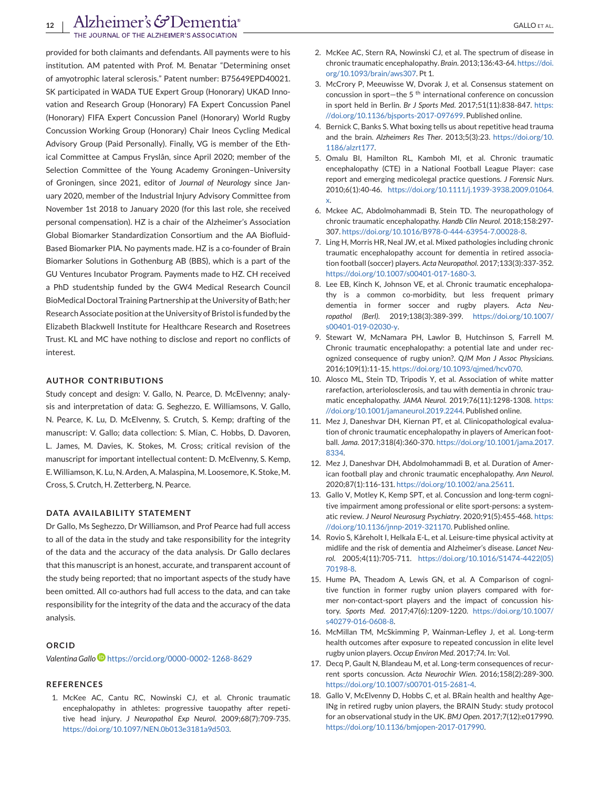<span id="page-11-0"></span>provided for both claimants and defendants. All payments were to his institution. AM patented with Prof. M. Benatar "Determining onset of amyotrophic lateral sclerosis." Patent number: B75649EPD40021. SK participated in WADA TUE Expert Group (Honorary) UKAD Innovation and Research Group (Honorary) FA Expert Concussion Panel (Honorary) FIFA Expert Concussion Panel (Honorary) World Rugby Concussion Working Group (Honorary) Chair Ineos Cycling Medical Advisory Group (Paid Personally). Finally, VG is member of the Ethical Committee at Campus Fryslân, since April 2020; member of the Selection Committee of the Young Academy Groningen–University of Groningen, since 2021, editor of *Journal of Neurology* since January 2020, member of the Industrial Injury Advisory Committee from November 1st 2018 to January 2020 (for this last role, she received personal compensation). HZ is a chair of the Alzheimer's Association Global Biomarker Standardization Consortium and the AA Biofluid-Based Biomarker PIA. No payments made. HZ is a co-founder of Brain Biomarker Solutions in Gothenburg AB (BBS), which is a part of the GU Ventures Incubator Program. Payments made to HZ. CH received a PhD studentship funded by the GW4 Medical Research Council BioMedical Doctoral Training Partnership at the University of Bath; her Research Associate position at the University of Bristol is funded by the Elizabeth Blackwell Institute for Healthcare Research and Rosetrees Trust. KL and MC have nothing to disclose and report no conflicts of interest.

#### **AUTHOR CONTRIBUTIONS**

Study concept and design: V. Gallo, N. Pearce, D. McElvenny; analysis and interpretation of data: G. Seghezzo, E. Williamsons, V. Gallo, N. Pearce, K. Lu, D. McElvenny, S. Crutch, S. Kemp; drafting of the manuscript: V. Gallo; data collection: S. Mian, C. Hobbs, D. Davoren, L. James, M. Davies, K. Stokes, M. Cross; critical revision of the manuscript for important intellectual content: D. McElvenny, S. Kemp, E.Williamson, K. Lu, N. Arden, A. Malaspina, M. Loosemore, K. Stoke, M. Cross, S. Crutch, H. Zetterberg, N. Pearce.

#### **DATA AVAILABILITY STATEMENT**

Dr Gallo, Ms Seghezzo, Dr Williamson, and Prof Pearce had full access to all of the data in the study and take responsibility for the integrity of the data and the accuracy of the data analysis. Dr Gallo declares that this manuscript is an honest, accurate, and transparent account of the study being reported; that no important aspects of the study have been omitted. All co-authors had full access to the data, and can take responsibility for the integrity of the data and the accuracy of the data analysis.

#### **ORCID**

*Valentina Gall[o](https://orcid.org/0000-0002-1268-8629)* <https://orcid.org/0000-0002-1268-8629>

#### **REFERENCES**

1. McKee AC, Cantu RC, Nowinski CJ, et al. Chronic traumatic encephalopathy in athletes: progressive tauopathy after repetitive head injury. *J Neuropathol Exp Neurol*. 2009;68(7):709-735. [https://doi.org/10.1097/NEN.0b013e3181a9d503.](https://doi.org/10.1097/NEN.0b013e3181a9d503)

- 2. McKee AC, Stern RA, Nowinski CJ, et al. The spectrum of disease in chronic traumatic encephalopathy. *Brain*. 2013;136:43-64. [https://doi.](https://doi.org/10.1093/brain/aws307) [org/10.1093/brain/aws307.](https://doi.org/10.1093/brain/aws307) Pt 1.
- 3. McCrory P, Meeuwisse W, Dvorak J, et al. Consensus statement on concussion in sport—the 5<sup>th</sup> international conference on concussion in sport held in Berlin. *Br J Sports Med*. 2017;51(11):838-847. [https:](https://doi.org/10.1136/bjsports-2017-097699) [//doi.org/10.1136/bjsports-2017-097699.](https://doi.org/10.1136/bjsports-2017-097699) Published online.
- 4. Bernick C, Banks S. What boxing tells us about repetitive head trauma and the brain. *Alzheimers Res Ther*. 2013;5(3):23. [https://doi.org/10.](https://doi.org/10.1186/alzrt177) [1186/alzrt177.](https://doi.org/10.1186/alzrt177)
- 5. Omalu BI, Hamilton RL, Kamboh MI, et al. Chronic traumatic encephalopathy (CTE) in a National Football League Player: case report and emerging medicolegal practice questions. *J Forensic Nurs*. 2010;6(1):40-46. [https://doi.org/10.1111/j.1939-3938.2009.01064.](https://doi.org/10.1111/j.1939-3938.2009.01064.x) [x.](https://doi.org/10.1111/j.1939-3938.2009.01064.x)
- 6. Mckee AC, Abdolmohammadi B, Stein TD. The neuropathology of chronic traumatic encephalopathy. *Handb Clin Neurol*. 2018;158:297- 307. [https://doi.org/10.1016/B978-0-444-63954-7.00028-8.](https://doi.org/10.1016/B978-0-444-63954-7.00028-8)
- 7. Ling H, Morris HR, Neal JW, et al. Mixed pathologies including chronic traumatic encephalopathy account for dementia in retired association football (soccer) players. *Acta Neuropathol*. 2017;133(3):337-352. [https://doi.org/10.1007/s00401-017-1680-3.](https://doi.org/10.1007/s00401-017-1680-3)
- 8. Lee EB, Kinch K, Johnson VE, et al. Chronic traumatic encephalopathy is a common co-morbidity, but less frequent primary dementia in former soccer and rugby players. *Acta Neuropathol (Berl)*. 2019;138(3):389-399. [https://doi.org/10.1007/](https://doi.org/10.1007/s00401-019-02030-y) [s00401-019-02030-y.](https://doi.org/10.1007/s00401-019-02030-y)
- 9. Stewart W, McNamara PH, Lawlor B, Hutchinson S, Farrell M. Chronic traumatic encephalopathy: a potential late and under recognized consequence of rugby union?. *QJM Mon J Assoc Physicians*. 2016;109(1):11-15. [https://doi.org/10.1093/qjmed/hcv070.](https://doi.org/10.1093/qjmed/hcv070)
- 10. Alosco ML, Stein TD, Tripodis Y, et al. Association of white matter rarefaction, arteriolosclerosis, and tau with dementia in chronic traumatic encephalopathy. *JAMA Neurol*. 2019;76(11):1298-1308. [https:](https://doi.org/10.1001/jamaneurol.2019.2244) [//doi.org/10.1001/jamaneurol.2019.2244.](https://doi.org/10.1001/jamaneurol.2019.2244) Published online.
- 11. Mez J, Daneshvar DH, Kiernan PT, et al. Clinicopathological evaluation of chronic traumatic encephalopathy in players of American football. *Jama*. 2017;318(4):360-370. [https://doi.org/10.1001/jama.2017.](https://doi.org/10.1001/jama.2017.8334) [8334.](https://doi.org/10.1001/jama.2017.8334)
- 12. Mez J, Daneshvar DH, Abdolmohammadi B, et al. Duration of American football play and chronic traumatic encephalopathy. *Ann Neurol*. 2020;87(1):116-131. [https://doi.org/10.1002/ana.25611.](https://doi.org/10.1002/ana.25611)
- 13. Gallo V, Motley K, Kemp SPT, et al. Concussion and long-term cognitive impairment among professional or elite sport-persons: a systematic review. *J Neurol Neurosurg Psychiatry*. 2020;91(5):455-468. [https:](https://doi.org/10.1136/jnnp-2019-321170) [//doi.org/10.1136/jnnp-2019-321170.](https://doi.org/10.1136/jnnp-2019-321170) Published online.
- 14. Rovio S, Kåreholt I, Helkala E-L, et al. Leisure-time physical activity at midlife and the risk of dementia and Alzheimer's disease. *Lancet Neurol*. 2005;4(11):705-711. [https://doi.org/10.1016/S1474-4422\(05\)](https://doi.org/10.1016/S1474-4422(05)70198-8) [70198-8.](https://doi.org/10.1016/S1474-4422(05)70198-8)
- 15. Hume PA, Theadom A, Lewis GN, et al. A Comparison of cognitive function in former rugby union players compared with former non-contact-sport players and the impact of concussion history. *Sports Med*. 2017;47(6):1209-1220. [https://doi.org/10.1007/](https://doi.org/10.1007/s40279-016-0608-8) [s40279-016-0608-8.](https://doi.org/10.1007/s40279-016-0608-8)
- 16. McMillan TM, McSkimming P, Wainman-Lefley J, et al. Long-term health outcomes after exposure to repeated concussion in elite level rugby union players. *Occup Environ Med*. 2017;74. In: Vol.
- 17. Decq P, Gault N, Blandeau M, et al. Long-term consequences of recurrent sports concussion. *Acta Neurochir Wien*. 2016;158(2):289-300. [https://doi.org/10.1007/s00701-015-2681-4.](https://doi.org/10.1007/s00701-015-2681-4)
- 18. Gallo V, McElvenny D, Hobbs C, et al. BRain health and healthy Age-INg in retired rugby union players, the BRAIN Study: study protocol for an observational study in the UK. *BMJ Open*. 2017;7(12):e017990. [https://doi.org/10.1136/bmjopen-2017-017990.](https://doi.org/10.1136/bmjopen-2017-017990)